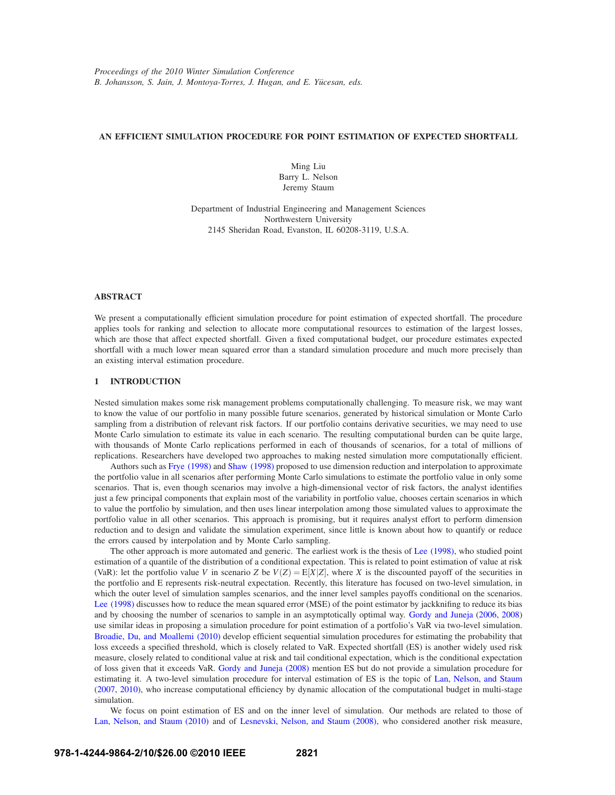### **AN EFFICIENT SIMULATION PROCEDURE FOR POINT ESTIMATION OF EXPECTED SHORTFALL**

Ming Liu Barry L. Nelson Jeremy Staum

Department of Industrial Engineering and Management Sciences Northwestern University 2145 Sheridan Road, Evanston, IL 60208-3119, U.S.A.

# **ABSTRACT**

We present a computationally efficient simulation procedure for point estimation of expected shortfall. The procedure applies tools for ranking and selection to allocate more computational resources to estimation of the largest losses, which are those that affect expected shortfall. Given a fixed computational budget, our procedure estimates expected shortfall with a much lower mean squared error than a standard simulation procedure and much more precisely than an existing interval estimation procedure.

# **1 INTRODUCTION**

Nested simulation makes some risk management problems computationally challenging. To measure risk, we may want to know the value of our portfolio in many possible future scenarios, generated by historical simulation or Monte Carlo sampling from a distribution of relevant risk factors. If our portfolio contains derivative securities, we may need to use Monte Carlo simulation to estimate its value in each scenario. The resulting computational burden can be quite large, with thousands of Monte Carlo replications performed in each of thousands of scenarios, for a total of millions of replications. Researchers have developed two approaches to making nested simulation more computationally efficient.

Authors such as Frye (1998) and Shaw (1998) proposed to use dimension reduction and interpolation to approximate the portfolio value in all scenarios after performing Monte Carlo simulations to estimate the portfolio value in only some scenarios. That is, even though scenarios may involve a high-dimensional vector of risk factors, the analyst identifies just a few principal components that explain most of the variability in portfolio value, chooses certain scenarios in which to value the portfolio by simulation, and then uses linear interpolation among those simulated values to approximate the portfolio value in all other scenarios. This approach is promising, but it requires analyst effort to perform dimension reduction and to design and validate the simulation experiment, since little is known about how to quantify or reduce the errors caused by interpolation and by Monte Carlo sampling.

The other approach is more automated and generic. The earliest work is the thesis of Lee (1998), who studied point estimation of a quantile of the distribution of a conditional expectation. This is related to point estimation of value at risk (VaR): let the portfolio value *V* in scenario *Z* be  $V(Z) = E[X|Z]$ , where *X* is the discounted payoff of the securities in the portfolio and E represents risk-neutral expectation. Recently, this literature has focused on two-level simulation, in which the outer level of simulation samples scenarios, and the inner level samples payoffs conditional on the scenarios. Lee (1998) discusses how to reduce the mean squared error (MSE) of the point estimator by jackknifing to reduce its bias and by choosing the number of scenarios to sample in an asymptotically optimal way. Gordy and Juneja (2006, 2008) use similar ideas in proposing a simulation procedure for point estimation of a portfolio's VaR via two-level simulation. Broadie, Du, and Moallemi (2010) develop efficient sequential simulation procedures for estimating the probability that loss exceeds a specified threshold, which is closely related to VaR. Expected shortfall (ES) is another widely used risk measure, closely related to conditional value at risk and tail conditional expectation, which is the conditional expectation of loss given that it exceeds VaR. Gordy and Juneja (2008) mention ES but do not provide a simulation procedure for estimating it. A two-level simulation procedure for interval estimation of ES is the topic of Lan, Nelson, and Staum (2007, 2010), who increase computational efficiency by dynamic allocation of the computational budget in multi-stage simulation.

We focus on point estimation of ES and on the inner level of simulation. Our methods are related to those of Lan, Nelson, and Staum (2010) and of Lesnevski, Nelson, and Staum (2008), who considered another risk measure,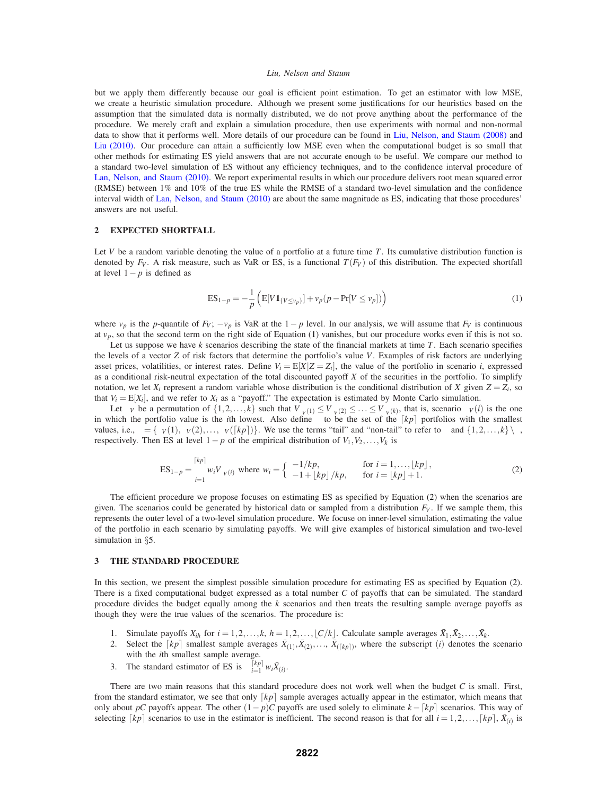but we apply them differently because our goal is efficient point estimation. To get an estimator with low MSE, we create a heuristic simulation procedure. Although we present some justifications for our heuristics based on the assumption that the simulated data is normally distributed, we do not prove anything about the performance of the procedure. We merely craft and explain a simulation procedure, then use experiments with normal and non-normal data to show that it performs well. More details of our procedure can be found in Liu, Nelson, and Staum (2008) and Liu (2010). Our procedure can attain a sufficiently low MSE even when the computational budget is so small that other methods for estimating ES yield answers that are not accurate enough to be useful. We compare our method to a standard two-level simulation of ES without any efficiency techniques, and to the confidence interval procedure of Lan, Nelson, and Staum (2010). We report experimental results in which our procedure delivers root mean squared error (RMSE) between 1% and 10% of the true ES while the RMSE of a standard two-level simulation and the confidence interval width of Lan, Nelson, and Staum (2010) are about the same magnitude as ES, indicating that those procedures' answers are not useful.

## **2 EXPECTED SHORTFALL**

Let *V* be a random variable denoting the value of a portfolio at a future time *T*. Its cumulative distribution function is denoted by  $F_V$ . A risk measure, such as VaR or ES, is a functional  $T(F_V)$  of this distribution. The expected shortfall at level  $1-p$  is defined as

$$
ES_{1-p} = -\frac{1}{p} \left( E[V1_{\{V \le v_p\}}] + v_p(p - Pr[V \le v_p]) \right)
$$
\n(1)

where  $v_p$  is the *p*-quantile of  $F_V$ ;  $-v_p$  is VaR at the 1− *p* level. In our analysis, we will assume that  $F_V$  is continuous at  $v_p$ , so that the second term on the right side of Equation (1) vanishes, but our procedure works even if this is not so.

Let us suppose we have *k* scenarios describing the state of the financial markets at time *T*. Each scenario specifies the levels of a vector *Z* of risk factors that determine the portfolio's value *V*. Examples of risk factors are underlying asset prices, volatilities, or interest rates. Define  $V_i = E[X|Z = Z_i]$ , the value of the portfolio in scenario *i*, expressed as a conditional risk-neutral expectation of the total discounted payoff *X* of the securities in the portfolio. To simplify notation, we let  $X_i$  represent a random variable whose distribution is the conditional distribution of *X* given  $Z = Z_i$ , so that  $V_i = E[X_i]$ , and we refer to  $X_i$  as a "payoff." The expectation is estimated by Monte Carlo simulation.

Let  $\pi_V$  be a permutation of  $\{1, 2, ..., k\}$  such that  $V_{\pi_V(1)} \leq V_{\pi_V(2)} \leq ... \leq V_{\pi_V(k)}$ , that is, scenario  $\pi_V(i)$  is the one in which the portfolio value is the *i*th lowest. Also define  $\gamma$  to be the set of the  $\lceil kp \rceil$  portfolios with the smallest values, i.e.,  $\gamma = {\pi_V(1), \pi_V(2), \dots, \pi_V(\lceil k_p \rceil)}$ . We use the terms "tail" and "non-tail" to refer to  $\gamma$  and  $\{1,2,\dots,k\} \setminus \gamma$ , respectively. Then ES at level  $1-p$  of the empirical distribution of  $V_1, V_2, \ldots, V_k$  is

$$
\text{ES}_{1-p} = \sum_{i=1}^{\lceil kp \rceil} w_i V_{\pi_V(i)} \text{ where } w_i = \begin{cases} -1/kp, & \text{for } i = 1, \dots, \lfloor kp \rfloor, \\ -1 + \lfloor kp \rfloor / kp, & \text{for } i = \lfloor kp \rfloor + 1. \end{cases} \tag{2}
$$

The efficient procedure we propose focuses on estimating ES as specified by Equation (2) when the scenarios are given. The scenarios could be generated by historical data or sampled from a distribution  $F_V$ . If we sample them, this represents the outer level of a two-level simulation procedure. We focuse on inner-level simulation, estimating the value of the portfolio in each scenario by simulating payoffs. We will give examples of historical simulation and two-level simulation in §5.

### **3 THE STANDARD PROCEDURE**

In this section, we present the simplest possible simulation procedure for estimating ES as specified by Equation (2). There is a fixed computational budget expressed as a total number *C* of payoffs that can be simulated. The standard procedure divides the budget equally among the *k* scenarios and then treats the resulting sample average payoffs as though they were the true values of the scenarios. The procedure is:

- 1. Simulate payoffs  $X_{ih}$  for  $i = 1, 2, ..., k$ ,  $h = 1, 2, ..., \lfloor C/k \rfloor$ . Calculate sample averages  $\bar{X}_1, \bar{X}_2, ..., \bar{X}_k$ .
- 2. Select the  $\lceil kp \rceil$  smallest sample averages  $\bar{X}_{(1)}, \bar{X}_{(2)}, \ldots, \bar{X}_{(\lceil kp \rceil)}$ , where the subscript (*i*) denotes the scenario with the *i*th smallest sample average.
- 3. The standard estimator of ES is  $\sum_{i=1}^{[kp]} w_i \bar{X}_{(i)}$ .

There are two main reasons that this standard procedure does not work well when the budget *C* is small. First, from the standard estimator, we see that only  $\lfloor kp \rfloor$  sample averages actually appear in the estimator, which means that only about *pC* payoffs appear. The other  $(1-p)C$  payoffs are used solely to eliminate  $k-[kp]$  scenarios. This way of selecting  $\lceil kp \rceil$  scenarios to use in the estimator is inefficient. The second reason is that for all  $i = 1, 2, \ldots, \lceil kp \rceil$ ,  $\bar{X}_{(i)}$  is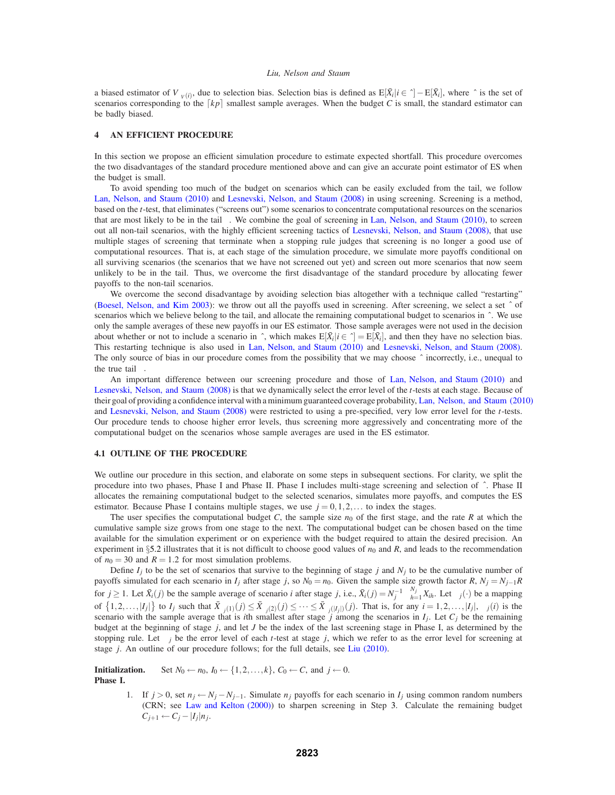a biased estimator of  $V_{\pi_V(i)}$ , due to selection bias. Selection bias is defined as  $E[\bar{X}_i | i \in \hat{\gamma}] - E[\bar{X}_i]$ , where  $\hat{\gamma}$  is the set of scenarios corresponding to the  $\lceil kp \rceil$  smallest sample averages. When the budget *C* is small, the standard estimator can be badly biased.

# **4 AN EFFICIENT PROCEDURE**

In this section we propose an efficient simulation procedure to estimate expected shortfall. This procedure overcomes the two disadvantages of the standard procedure mentioned above and can give an accurate point estimator of ES when the budget is small.

To avoid spending too much of the budget on scenarios which can be easily excluded from the tail, we follow Lan, Nelson, and Staum (2010) and Lesnevski, Nelson, and Staum (2008) in using screening. Screening is a method, based on the *t*-test, that eliminates ("screens out") some scenarios to concentrate computational resources on the scenarios that are most likely to be in the tail γ. We combine the goal of screening in Lan, Nelson, and Staum (2010), to screen out all non-tail scenarios, with the highly efficient screening tactics of Lesnevski, Nelson, and Staum (2008), that use multiple stages of screening that terminate when a stopping rule judges that screening is no longer a good use of computational resources. That is, at each stage of the simulation procedure, we simulate more payoffs conditional on all surviving scenarios (the scenarios that we have not screened out yet) and screen out more scenarios that now seem unlikely to be in the tail. Thus, we overcome the first disadvantage of the standard procedure by allocating fewer payoffs to the non-tail scenarios.

We overcome the second disadvantage by avoiding selection bias altogether with a technique called "restarting" (Boesel, Nelson, and Kim 2003): we throw out all the payoffs used in screening. After screening, we select a set  $\hat{\gamma}$  of scenarios which we believe belong to the tail, and allocate the remaining computational budget to scenarios in  $\hat{\gamma}$ . We use only the sample averages of these new payoffs in our ES estimator. Those sample averages were not used in the decision about whether or not to include a scenario in  $\hat{\gamma}$ , which makes  $E[\bar{X}_i | i \in \hat{\gamma}] = E[\bar{X}_i]$ , and then they have no selection bias. This restarting technique is also used in Lan, Nelson, and Staum (2010) and Lesnevski, Nelson, and Staum (2008). The only source of bias in our procedure comes from the possibility that we may choose  $\hat{\gamma}$  incorrectly, i.e., unequal to the true tail  $γ$ .

An important difference between our screening procedure and those of Lan, Nelson, and Staum (2010) and Lesnevski, Nelson, and Staum (2008) is that we dynamically select the error level of the *t*-tests at each stage. Because of their goal of providing a confidence interval with a minimum guaranteed coverage probability, Lan, Nelson, and Staum (2010) and Lesnevski, Nelson, and Staum (2008) were restricted to using a pre-specified, very low error level for the *t*-tests. Our procedure tends to choose higher error levels, thus screening more aggressively and concentrating more of the computational budget on the scenarios whose sample averages are used in the ES estimator.

# **4.1 OUTLINE OF THE PROCEDURE**

We outline our procedure in this section, and elaborate on some steps in subsequent sections. For clarity, we split the procedure into two phases, Phase I and Phase II. Phase I includes multi-stage screening and selection of <sup>γ</sup>ˆ. Phase II allocates the remaining computational budget to the selected scenarios, simulates more payoffs, and computes the ES estimator. Because Phase I contains multiple stages, we use  $j = 0, 1, 2, \ldots$  to index the stages.

The user specifies the computational budget  $C$ , the sample size  $n_0$  of the first stage, and the rate  $R$  at which the cumulative sample size grows from one stage to the next. The computational budget can be chosen based on the time available for the simulation experiment or on experience with the budget required to attain the desired precision. An experiment in §5.2 illustrates that it is not difficult to choose good values of  $n_0$  and  $R$ , and leads to the recommendation of  $n_0 = 30$  and  $R = 1.2$  for most simulation problems.

Define  $I_i$  to be the set of scenarios that survive to the beginning of stage  $j$  and  $N_j$  to be the cumulative number of payoffs simulated for each scenario in *I<sub>j</sub>* after stage *j*, so  $N_0 = n_0$ . Given the sample size growth factor *R*,  $N_j = N_{j-1}R$ for  $j \ge 1$ . Let  $\bar{X}_i(j)$  be the sample average of scenario *i* after stage *j*, i.e.,  $\bar{X}_i(j) = N_j^{-1} \sum_{h=1}^{N_j} X_{ih}$ . Let  $\pi_j(\cdot)$  be a mapping of  $\{1,2,\ldots,|I_j|\}$  to  $I_j$  such that  $\bar{X}_{\pi_j(1)}(j) \leq \bar{X}_{\pi_j(2)}(j) \leq \cdots \leq \bar{X}_{\pi_j(|I_j|)}(j)$ . That is, for any  $i=1,2,\ldots,|I_j|$ ,  $\pi_j(i)$  is the scenario with the sample average that is *i*th smallest after stage *j* among the scenarios in  $I_j$ . Let  $C_j$  be the remaining budget at the beginning of stage *j*, and let *J* be the index of the last screening stage in Phase I, as determined by the stopping rule. Let  $\alpha_j$  be the error level of each *t*-test at stage *j*, which we refer to as the error level for screening at stage *j*. An outline of our procedure follows; for the full details, see Liu (2010).

**Initialization.** Set  $N_0 \leftarrow n_0$ ,  $I_0 \leftarrow \{1, 2, \ldots, k\}$ ,  $C_0 \leftarrow C$ , and  $j \leftarrow 0$ . **Phase I.**

> 1. If  $j > 0$ , set  $n_j$  ←  $N_j - N_{j-1}$ . Simulate  $n_j$  payoffs for each scenario in  $I_j$  using common random numbers (CRN; see Law and Kelton (2000)) to sharpen screening in Step 3. Calculate the remaining budget  $C_{j+1} \leftarrow C_j - |I_j| n_j.$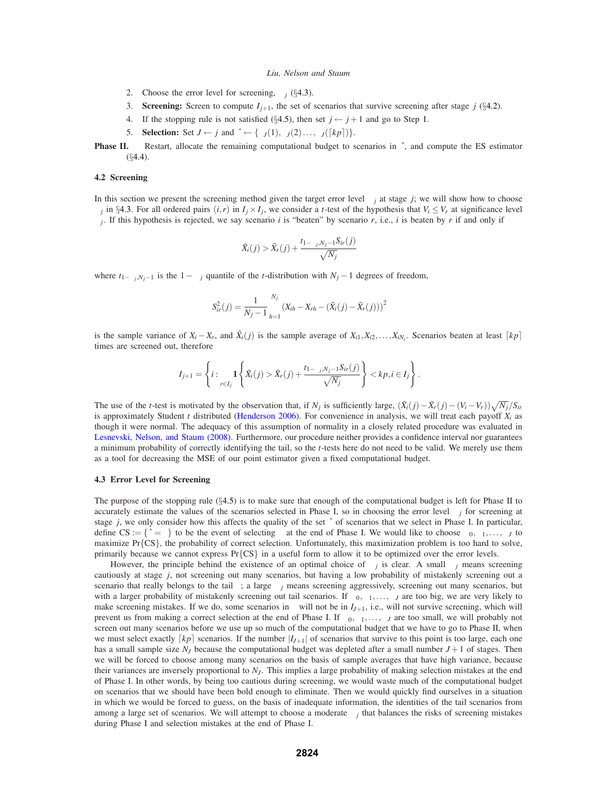- 2. Choose the error level for screening,  $\alpha_i$  (§4.3).
- 3. **Screening:** Screen to compute  $I_{i+1}$ , the set of scenarios that survive screening after stage  $j$  (§4.2).
- 4. If the stopping rule is not satisfied (§4.5), then set  $j \leftarrow j+1$  and go to Step 1.
- 5. **Selection:** Set  $J \leftarrow j$  and  $\hat{\gamma} \leftarrow {\pi_J(1), \pi_J(2) \dots, \pi_J(\lceil kp \rceil)}$ .

**Phase II.** Restart, allocate the remaining computational budget to scenarios in  $\hat{\gamma}$ , and compute the ES estimator  $(§4.4).$ 

### **4.2 Screening**

In this section we present the screening method given the target error level  $\alpha_j$  at stage *j*; we will show how to choose  $\alpha_j$  in §4.3. For all ordered pairs  $(i, r)$  in  $I_j \times I_j$ , we consider a *t*-test of the hypothesis that  $V_i \leq V_r$  at significance level  $\alpha_i$ . If this hypothesis is rejected, we say scenario *i* is "beaten" by scenario *r*, i.e., *i* is beaten by *r* if and only if

$$
\bar{X}_i(j) > \bar{X}_r(j) + \frac{t_{1-\alpha_j, N_j-1} S_{ir}(j)}{\sqrt{N_j}}
$$

where  $t_{1-\alpha_j,N_j-1}$  is the  $1-\alpha_j$  quantile of the *t*-distribution with  $N_j-1$  degrees of freedom,

$$
S_{ir}^{2}(j) = \frac{1}{N_{j}-1} \sum_{h=1}^{N_{j}} (X_{ih} - X_{rh} - (\bar{X}_{i}(j) - \bar{X}_{r}(j)))^{2}
$$

is the sample variance of  $X_i - X_r$ , and  $\bar{X}_i(j)$  is the sample average of  $X_{i1}, X_{i2}, \ldots, X_{iN_i}$ . Scenarios beaten at least  $\lceil kp \rceil$ times are screened out, therefore

$$
I_{j+1}=\left\{i:\sum_{r\in I_j}\mathbf{1}\left\{\bar{X}_i(j)>\bar{X}_r(j)+\frac{t_{1-\alpha_j,N_j-1}S_{ir}(j)}{\sqrt{N_j}}\right\}
$$

The use of the *t*-test is motivated by the observation that, if *N<sub>j</sub>* is sufficiently large,  $(\bar{X}_i(j) - \bar{X}_r(j) - (V_i - V_r))\sqrt{N_i/S_{ir}}$ is approximately Student *t* distributed (Henderson 2006). For convenience in analysis, we will treat each payoff *Xi* as though it were normal. The adequacy of this assumption of normality in a closely related procedure was evaluated in Lesnevski, Nelson, and Staum (2008). Furthermore, our procedure neither provides a confidence interval nor guarantees a minimum probability of correctly identifying the tail, so the *t*-tests here do not need to be valid. We merely use them as a tool for decreasing the MSE of our point estimator given a fixed computational budget.

### **4.3 Error Level for Screening**

The purpose of the stopping rule (§4.5) is to make sure that enough of the computational budget is left for Phase II to accurately estimate the values of the scenarios selected in Phase I, so in choosing the error level  $\alpha_j$  for screening at stage *j*, we only consider how this affects the quality of the set  $\hat{\gamma}$  of scenarios that we select in Phase I. In particular, define  $CS := {\hat{\gamma}} = {\gamma}$  to be the event of selecting  $\gamma$  at the end of Phase I. We would like to choose  $\alpha_0, \alpha_1, \dots, \alpha_J$  to maximize Pr{CS}, the probability of correct selection. Unfortunately, this maximization problem is too hard to solve, primarily because we cannot express  $Pr{CS}$  in a useful form to allow it to be optimized over the error levels.

However, the principle behind the existence of an optimal choice of  $\alpha_i$  is clear. A small  $\alpha_i$  means screening cautiously at stage *j*, not screening out many scenarios, but having a low probability of mistakenly screening out a scenario that really belongs to the tail  $\gamma$ ; a large  $\alpha_j$  means screening aggressively, screening out many scenarios, but with a larger probability of mistakenly screening out tail scenarios. If  $\alpha_0, \alpha_1, \ldots, \alpha_J$  are too big, we are very likely to make screening mistakes. If we do, some scenarios in  $\gamma$  will not be in  $I_{J+1}$ , i.e., will not survive screening, which will prevent us from making a correct selection at the end of Phase I. If  $\alpha_0, \alpha_1, \ldots, \alpha_J$  are too small, we will probably not screen out many scenarios before we use up so much of the computational budget that we have to go to Phase II, when we must select exactly  $\lfloor kp \rfloor$  scenarios. If the number  $\lfloor I_{J+1} \rfloor$  of scenarios that survive to this point is too large, each one has a small sample size  $N_J$  because the computational budget was depleted after a small number  $J+1$  of stages. Then we will be forced to choose among many scenarios on the basis of sample averages that have high variance, because their variances are inversely proportional to *NJ* . This implies a large probability of making selection mistakes at the end of Phase I. In other words, by being too cautious during screening, we would waste much of the computational budget on scenarios that we should have been bold enough to eliminate. Then we would quickly find ourselves in a situation in which we would be forced to guess, on the basis of inadequate information, the identities of the tail scenarios from among a large set of scenarios. We will attempt to choose a moderate  $\alpha_i$  that balances the risks of screening mistakes during Phase I and selection mistakes at the end of Phase I.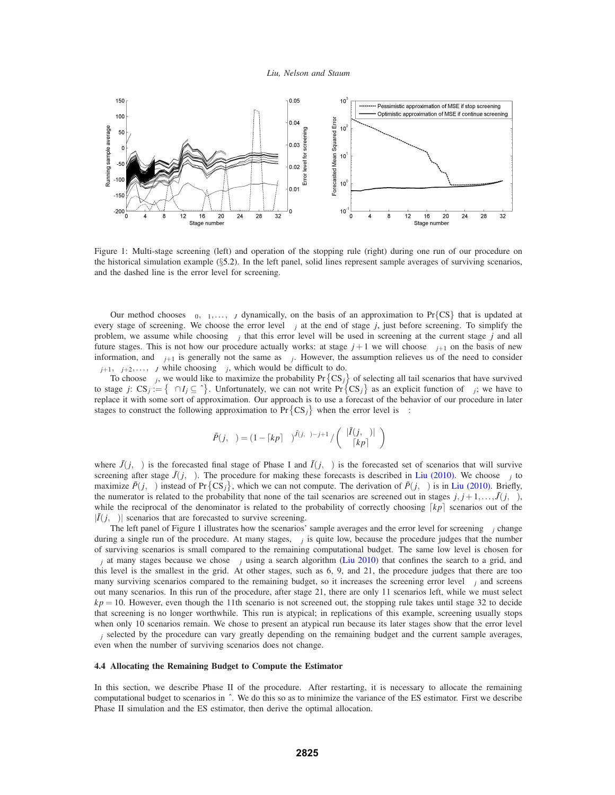

Figure 1: Multi-stage screening (left) and operation of the stopping rule (right) during one run of our procedure on the historical simulation example (§5.2). In the left panel, solid lines represent sample averages of surviving scenarios, and the dashed line is the error level for screening.

Our method chooses  $\alpha_0, \alpha_1, \ldots, \alpha_J$  dynamically, on the basis of an approximation to Pr{CS} that is updated at every stage of screening. We choose the error level  $\alpha_j$  at the end of stage *j*, just before screening. To simplify the problem, we assume while choosing  $\alpha_i$  that this error level will be used in screening at the current stage *j* and all future stages. This is not how our procedure actually works: at stage  $j+1$  we will choose  $\alpha_{j+1}$  on the basis of new information, and  $\alpha_{i+1}$  is generally not the same as  $\alpha_i$ . However, the assumption relieves us of the need to consider  $\alpha_{i+1}, \alpha_{i+2}, \ldots, \alpha_J$  while choosing  $\alpha_i$ , which would be difficult to do.

To choose  $\alpha_j$ , we would like to maximize the probability Pr  $\{CS_j\}$  of selecting all tail scenarios that have survived to stage *j*:  $CS_j := \{ \gamma \cap I_j \subseteq \hat{\gamma} \}$ . Unfortunately, we can not write Pr $\{ CS_j \}$  as an explicit function of  $\alpha_j$ ; we have to replace it with some sort of approximation. Our approach is to use a forecast of the behavior of our procedure in later stages to construct the following approximation to  $Pr{CS_j}$  when the error level is  $\alpha$ :

$$
\tilde{P}(j,\alpha) = (1 - \lceil kp \rceil \alpha)^{f(j,\alpha) - j + 1} / \left( \begin{array}{c} |\tilde{I}(j,\alpha)| \\ \lceil kp \rceil \end{array} \right)
$$

where  $\tilde{J}(j,\alpha)$  is the forecasted final stage of Phase I and  $\tilde{I}(j,\alpha)$  is the forecasted set of scenarios that will survive screening after stage  $\tilde{J}(j,\alpha)$ . The procedure for making these forecasts is described in Liu (2010). We choose  $\alpha_j$  to maximize  $\tilde{P}(j,\alpha)$  instead of Pr  $\{CS_j\}$ , which we can not compute. The derivation of  $\tilde{P}(j,\alpha)$  is in Liu (2010). Briefly, the numerator is related to the probability that none of the tail scenarios are screened out in stages  $j, j+1, \ldots, \tilde{J}(j, \alpha)$ , while the reciprocal of the denominator is related to the probability of correctly choosing  $\lceil kp \rceil$  scenarios out of the  $|I(j, \alpha)|$  scenarios that are forecasted to survive screening.

The left panel of Figure 1 illustrates how the scenarios' sample averages and the error level for screening  $\alpha_j$  change during a single run of the procedure. At many stages,  $\alpha_i$  is quite low, because the procedure judges that the number of surviving scenarios is small compared to the remaining computational budget. The same low level is chosen for  $\alpha_j$  at many stages because we chose  $\alpha_j$  using a search algorithm (Liu 2010) that confines the search to a grid, and this level is the smallest in the grid. At other stages, such as 6, 9, and 21, the procedure judges that there are too many surviving scenarios compared to the remaining budget, so it increases the screening error level  $\alpha_i$  and screens out many scenarios. In this run of the procedure, after stage 21, there are only 11 scenarios left, while we must select  $kp = 10$ . However, even though the 11th scenario is not screened out, the stopping rule takes until stage 32 to decide that screening is no longer worthwhile. This run is atypical; in replications of this example, screening usually stops when only 10 scenarios remain. We chose to present an atypical run because its later stages show that the error level  $\alpha_i$  selected by the procedure can vary greatly depending on the remaining budget and the current sample averages, even when the number of surviving scenarios does not change.

### **4.4 Allocating the Remaining Budget to Compute the Estimator**

In this section, we describe Phase II of the procedure. After restarting, it is necessary to allocate the remaining computational budget to scenarios in  $\hat{\gamma}$ . We do this so as to minimize the variance of the ES estimator. First we describe Phase II simulation and the ES estimator, then derive the optimal allocation.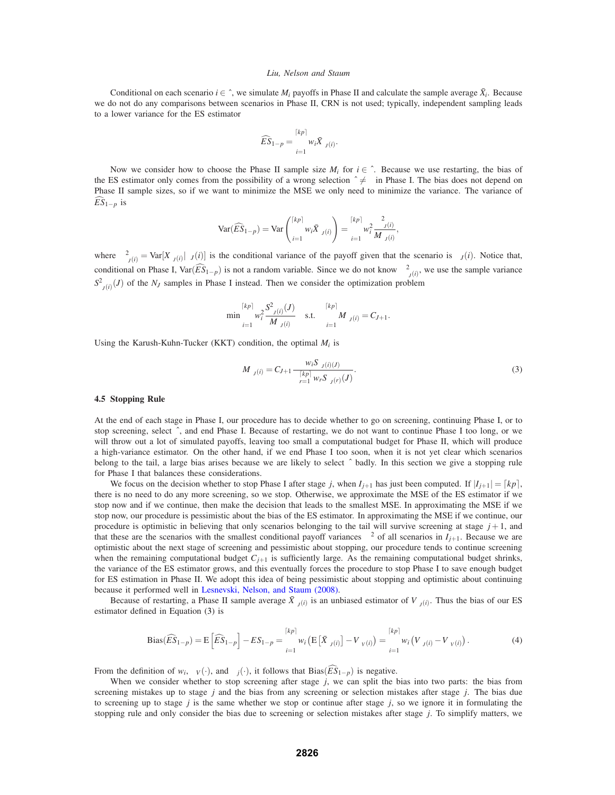Conditional on each scenario  $i \in \hat{\gamma}$ , we simulate  $M_i$  payoffs in Phase II and calculate the sample average  $\bar{X}_i$ . Because we do not do any comparisons between scenarios in Phase II, CRN is not used; typically, independent sampling leads to a lower variance for the ES estimator

$$
\widehat{ES}_{1-p} = \sum_{i=1}^{\lceil kp \rceil} w_i \bar{X}_{\pi_J(i)}.
$$

Now we consider how to choose the Phase II sample size  $M_i$  for  $i \in \hat{\gamma}$ . Because we use restarting, the bias of the ES estimator only comes from the possibility of a wrong selection  $\hat{\gamma} \neq \gamma$  in Phase I. The bias does not depend on Phase II sample sizes, so if we want to minimize the MSE we only need to minimize the variance. The variance of  $ES_{1-p}$  is

$$
\text{Var}(\widehat{ES}_{1-p}) = \text{Var}\left(\sum_{i=1}^{\lceil kp \rceil} w_i \bar{X}_{\pi_J(i)}\right) = \sum_{i=1}^{\lceil kp \rceil} w_i^2 \frac{\sigma^2_{\pi_J(i)}}{M_{\pi_J(i)}},
$$

where  $\sigma_{\pi_J(i)}^2 = \text{Var}[X_{\pi_J(i)} | \pi_J(i)]$  is the conditional variance of the payoff given that the scenario is  $\pi_J(i)$ . Notice that, conditional on Phase I, Var $(\widehat{ES}_{1-p})$  is not a random variable. Since we do not know  $\sigma_{\pi_J(i)}^2$ , we use the sample variance  $S^2_{\pi_J(i)}(J)$  of the *N<sub>J</sub>* samples in Phase I instead. Then we consider the optimization problem

$$
\min \sum_{i=1}^{\lceil kp \rceil} w_i^2 \frac{S^2_{\pi_J(i)}(J)}{M_{\pi_J(i)}} \quad \text{s.t.} \quad \sum_{i=1}^{\lceil kp \rceil} M_{\pi_J(i)} = C_{J+1}.
$$

Using the Karush-Kuhn-Tucker (KKT) condition, the optimal  $M_i$  is

$$
M_{\pi_J(i)} = C_{J+1} \frac{w_i S_{\pi_J(i)(J)}}{\sum_{r=1}^{[kp]} w_r S_{\pi_J(r)}(J)}.
$$
\n(3)

### **4.5 Stopping Rule**

At the end of each stage in Phase I, our procedure has to decide whether to go on screening, continuing Phase I, or to stop screening, select  $\hat{\gamma}$ , and end Phase I. Because of restarting, we do not want to continue Phase I too long, or we will throw out a lot of simulated payoffs, leaving too small a computational budget for Phase II, which will produce a high-variance estimator. On the other hand, if we end Phase I too soon, when it is not yet clear which scenarios belong to the tail, a large bias arises because we are likely to select  $\hat{\gamma}$  badly. In this section we give a stopping rule for Phase I that balances these considerations.

We focus on the decision whether to stop Phase I after stage *j*, when  $I_{j+1}$  has just been computed. If  $|I_{j+1}| = \lceil kp \rceil$ , there is no need to do any more screening, so we stop. Otherwise, we approximate the MSE of the ES estimator if we stop now and if we continue, then make the decision that leads to the smallest MSE. In approximating the MSE if we stop now, our procedure is pessimistic about the bias of the ES estimator. In approximating the MSE if we continue, our procedure is optimistic in believing that only scenarios belonging to the tail will survive screening at stage  $j + 1$ , and that these are the scenarios with the smallest conditional payoff variances  $\sigma^2$  of all scenarios in  $I_{i+1}$ . Because we are optimistic about the next stage of screening and pessimistic about stopping, our procedure tends to continue screening when the remaining computational budget  $C_{j+1}$  is sufficiently large. As the remaining computational budget shrinks, the variance of the ES estimator grows, and this eventually forces the procedure to stop Phase I to save enough budget for ES estimation in Phase II. We adopt this idea of being pessimistic about stopping and optimistic about continuing because it performed well in Lesnevski, Nelson, and Staum (2008).

Because of restarting, a Phase II sample average  $\bar{X}_{\pi_J(i)}$  is an unbiased estimator of  $V_{\pi_J(i)}$ . Thus the bias of our ES estimator defined in Equation (3) is

Bias
$$
(\widehat{ES}_{1-p}) = E\left[\widehat{ES}_{1-p}\right] - ES_{1-p} = \sum_{i=1}^{\lceil kp \rceil} w_i \left(E\left[\bar{X}_{\pi_J(i)}\right] - V_{\pi_V(i)}\right) = \sum_{i=1}^{\lceil kp \rceil} w_i \left(V_{\pi_J(i)} - V_{\pi_V(i)}\right).
$$
 (4)

From the definition of  $w_i$ ,  $\pi_V(\cdot)$ , and  $\pi_j(\cdot)$ , it follows that Bias( $\widehat{ES}_{1-p}$ ) is negative.

When we consider whether to stop screening after stage *j*, we can split the bias into two parts: the bias from screening mistakes up to stage *j* and the bias from any screening or selection mistakes after stage *j*. The bias due to screening up to stage  $j$  is the same whether we stop or continue after stage  $j$ , so we ignore it in formulating the stopping rule and only consider the bias due to screening or selection mistakes after stage *j*. To simplify matters, we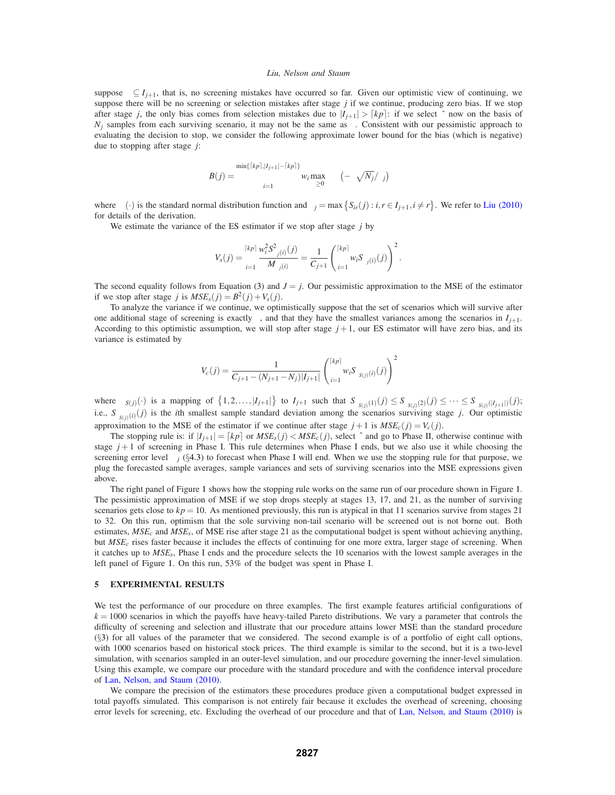suppose  $\gamma \subseteq I_{i+1}$ , that is, no screening mistakes have occurred so far. Given our optimistic view of continuing, we suppose there will be no screening or selection mistakes after stage *j* if we continue, producing zero bias. If we stop after stage *j*, the only bias comes from selection mistakes due to  $|I_{i+1}| > [kp]$ : if we select  $\hat{\gamma}$  now on the basis of  $N_i$  samples from each surviving scenario, it may not be the same as γ. Consistent with our pessimistic approach to evaluating the decision to stop, we consider the following approximate lower bound for the bias (which is negative) due to stopping after stage *j*:

$$
B(j) = \sum_{i=1}^{\min\{\lceil kp \rceil, |I_{j+1}| - \lceil kp \rceil\}} w_i \max_{\delta \geq 0} \delta \Phi \left( -\delta \sqrt{N_j}/\tau_j \right)
$$

where  $\Phi(\cdot)$  is the standard normal distribution function and  $\tau_j = \max\left\{S_{ir}(j): i, r \in I_{j+1}, i \neq r\right\}$ . We refer to Liu (2010) for details of the derivation.

We estimate the variance of the ES estimator if we stop after stage *j* by

$$
V_s(j) = \sum_{i=1}^{\lceil kp \rceil} \frac{w_i^2 S^2_{\pi_j(i)}(j)}{M_{\pi_j(i)}} = \frac{1}{C_{j+1}} \left( \sum_{i=1}^{\lceil kp \rceil} w_i S_{\pi_j(i)}(j) \right)^2.
$$

The second equality follows from Equation (3) and  $J = j$ . Our pessimistic approximation to the MSE of the estimator if we stop after stage *j* is  $MSE_s(j) = B^2(j) + V_s(j)$ .

To analyze the variance if we continue, we optimistically suppose that the set of scenarios which will survive after one additional stage of screening is exactly  $\gamma$ , and that they have the smallest variances among the scenarios in  $I_{j+1}$ . According to this optimistic assumption, we will stop after stage  $j + 1$ , our ES estimator will have zero bias, and its variance is estimated by

$$
V_c(j) = \frac{1}{C_{j+1} - (N_{j+1} - N_j)|I_{j+1}|} \left( \sum_{i=1}^{\lceil kp \rceil} w_i S_{\pi_{S(j)}(i)}(j) \right)^2
$$

where  $\pi_{S(j)}(\cdot)$  is a mapping of  $\{1, 2, ..., |I_{j+1}|\}$  to  $I_{j+1}$  such that  $S_{\pi_{S(j)}(1)}(j) \leq S_{\pi_{S(j)}(2)}(j) \leq \cdots \leq S_{\pi_{S(j)}(|I_{j+1}|)}(j)$ ; i.e.,  $S_{\pi_{S(i)}(i)}(j)$  is the *i*th smallest sample standard deviation among the scenarios surviving stage *j*. Our optimistic approximation to the MSE of the estimator if we continue after stage  $j + 1$  is  $MSE_c(j) = V_c(j)$ .

The stopping rule is: if  $|I_{j+1}| = \lceil kp \rceil$  or  $MSE_s(j) < MSE_c(j)$ , select  $\hat{\gamma}$  and go to Phase II, otherwise continue with stage  $j+1$  of screening in Phase I. This rule determines when Phase I ends, but we also use it while choosing the screening error level  $\alpha_i$  (§4.3) to forecast when Phase I will end. When we use the stopping rule for that purpose, we plug the forecasted sample averages, sample variances and sets of surviving scenarios into the MSE expressions given above.

The right panel of Figure 1 shows how the stopping rule works on the same run of our procedure shown in Figure 1. The pessimistic approximation of MSE if we stop drops steeply at stages 13, 17, and 21, as the number of surviving scenarios gets close to  $kp = 10$ . As mentioned previously, this run is atypical in that 11 scenarios survive from stages 21 to 32. On this run, optimism that the sole surviving non-tail scenario will be screened out is not borne out. Both estimates, *MSEc* and *MSEs*, of MSE rise after stage 21 as the computational budget is spent without achieving anything, but *MSEc* rises faster because it includes the effects of continuing for one more extra, larger stage of screening. When it catches up to *MSEs*, Phase I ends and the procedure selects the 10 scenarios with the lowest sample averages in the left panel of Figure 1. On this run, 53% of the budget was spent in Phase I.

# **5 EXPERIMENTAL RESULTS**

We test the performance of our procedure on three examples. The first example features artificial configurations of  $k = 1000$  scenarios in which the payoffs have heavy-tailed Pareto distributions. We vary a parameter that controls the difficulty of screening and selection and illustrate that our procedure attains lower MSE than the standard procedure (§3) for all values of the parameter that we considered. The second example is of a portfolio of eight call options, with 1000 scenarios based on historical stock prices. The third example is similar to the second, but it is a two-level simulation, with scenarios sampled in an outer-level simulation, and our procedure governing the inner-level simulation. Using this example, we compare our procedure with the standard procedure and with the confidence interval procedure of Lan, Nelson, and Staum (2010).

We compare the precision of the estimators these procedures produce given a computational budget expressed in total payoffs simulated. This comparison is not entirely fair because it excludes the overhead of screening, choosing error levels for screening, etc. Excluding the overhead of our procedure and that of Lan, Nelson, and Staum (2010) is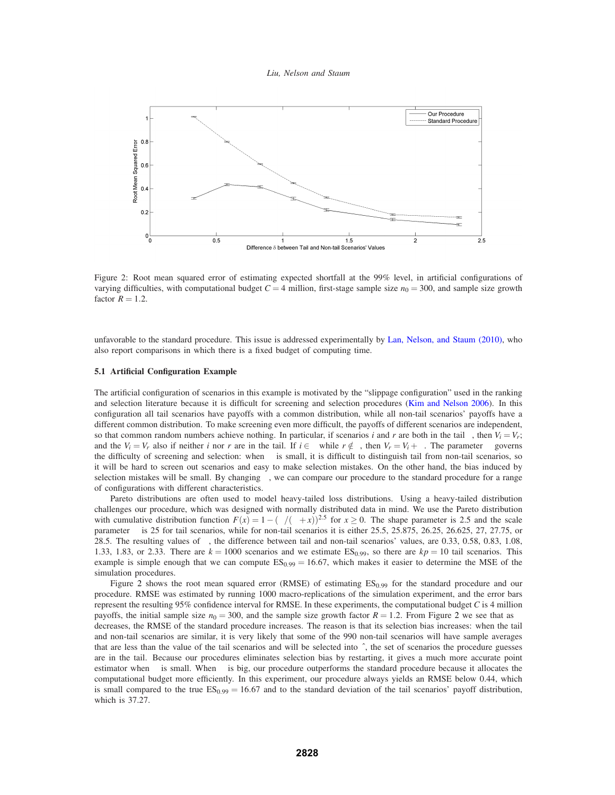*Liu, Nelson and Staum*



Figure 2: Root mean squared error of estimating expected shortfall at the 99% level, in artificial configurations of varying difficulties, with computational budget  $C = 4$  million, first-stage sample size  $n_0 = 300$ , and sample size growth factor  $R = 1.2$ .

unfavorable to the standard procedure. This issue is addressed experimentally by Lan, Nelson, and Staum (2010), who also report comparisons in which there is a fixed budget of computing time.

# **5.1 Artificial Configuration Example**

The artificial configuration of scenarios in this example is motivated by the "slippage configuration" used in the ranking and selection literature because it is difficult for screening and selection procedures (Kim and Nelson 2006). In this configuration all tail scenarios have payoffs with a common distribution, while all non-tail scenarios' payoffs have a different common distribution. To make screening even more difficult, the payoffs of different scenarios are independent, so that common random numbers achieve nothing. In particular, if scenarios *i* and *r* are both in the tail  $\gamma$ , then  $V_i = V_r$ ; and the  $V_i = V_r$  also if neither *i* nor *r* are in the tail. If  $i \in \gamma$  while  $r \notin \gamma$ , then  $V_r = V_i + \delta$ . The parameter  $\delta$  governs the difficulty of screening and selection: when  $\delta$  is small, it is difficult to distinguish tail from non-tail scenarios, so it will be hard to screen out scenarios and easy to make selection mistakes. On the other hand, the bias induced by selection mistakes will be small. By changing  $\delta$ , we can compare our procedure to the standard procedure for a range of configurations with different characteristics.

Pareto distributions are often used to model heavy-tailed loss distributions. Using a heavy-tailed distribution challenges our procedure, which was designed with normally distributed data in mind. We use the Pareto distribution with cumulative distribution function  $F(x) = 1 - (\lambda/(\lambda + x))^{2.5}$  for  $x \ge 0$ . The shape parameter is 2.5 and the scale parameter  $\lambda$  is 25 for tail scenarios, while for non-tail scenarios it is either 25.5, 25.875, 26.25, 26.625, 27, 27.75, or 28.5. The resulting values of  $\delta$ , the difference between tail and non-tail scenarios' values, are 0.33, 0.58, 0.83, 1.08, 1.33, 1.83, or 2.33. There are  $k = 1000$  scenarios and we estimate ES<sub>0.99</sub>, so there are  $kp = 10$  tail scenarios. This example is simple enough that we can compute  $ES_{0.99} = 16.67$ , which makes it easier to determine the MSE of the simulation procedures.

Figure 2 shows the root mean squared error (RMSE) of estimating ES<sub>0.99</sub> for the standard procedure and our procedure. RMSE was estimated by running 1000 macro-replications of the simulation experiment, and the error bars represent the resulting 95% confidence interval for RMSE. In these experiments, the computational budget *C* is 4 million payoffs, the initial sample size  $n_0 = 300$ , and the sample size growth factor  $R = 1.2$ . From Figure 2 we see that as  $\delta$ decreases, the RMSE of the standard procedure increases. The reason is that its selection bias increases: when the tail and non-tail scenarios are similar, it is very likely that some of the 990 non-tail scenarios will have sample averages that are less than the value of the tail scenarios and will be selected into  $\hat{\gamma}$ , the set of scenarios the procedure guesses are in the tail. Because our procedures eliminates selection bias by restarting, it gives a much more accurate point estimator when  $\delta$  is small. When  $\delta$  is big, our procedure outperforms the standard procedure because it allocates the computational budget more efficiently. In this experiment, our procedure always yields an RMSE below 0.44, which is small compared to the true  $ES_{0.99} = 16.67$  and to the standard deviation of the tail scenarios' payoff distribution, which is 37.27.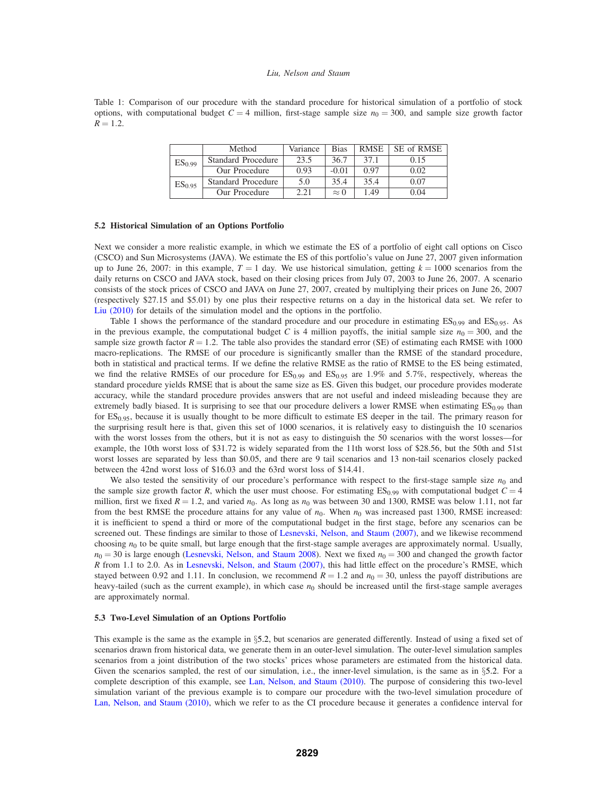Table 1: Comparison of our procedure with the standard procedure for historical simulation of a portfolio of stock options, with computational budget  $C = 4$  million, first-stage sample size  $n_0 = 300$ , and sample size growth factor  $R = 1.2$ .

|                    | Method                    | Variance | <b>Bias</b> | <b>RMSE</b> | SE of RMSE |
|--------------------|---------------------------|----------|-------------|-------------|------------|
| ES <sub>0.99</sub> | <b>Standard Procedure</b> | 23.5     | 36.7        | 37.1        | 0.15       |
|                    | Our Procedure             | 0.93     | $-0.01$     | 0.97        | 0.02       |
| ES <sub>0.95</sub> | <b>Standard Procedure</b> | 5.0      | 35.4        | 35.4        | 0.07       |
|                    | Our Procedure             | 2.21     | $\approx 0$ | 1.49        | 0.04       |

## **5.2 Historical Simulation of an Options Portfolio**

Next we consider a more realistic example, in which we estimate the ES of a portfolio of eight call options on Cisco (CSCO) and Sun Microsystems (JAVA). We estimate the ES of this portfolio's value on June 27, 2007 given information up to June 26, 2007: in this example,  $T = 1$  day. We use historical simulation, getting  $k = 1000$  scenarios from the daily returns on CSCO and JAVA stock, based on their closing prices from July 07, 2003 to June 26, 2007. A scenario consists of the stock prices of CSCO and JAVA on June 27, 2007, created by multiplying their prices on June 26, 2007 (respectively \$27.15 and \$5.01) by one plus their respective returns on a day in the historical data set. We refer to Liu (2010) for details of the simulation model and the options in the portfolio.

Table 1 shows the performance of the standard procedure and our procedure in estimating  $ES_{0.99}$  and  $ES_{0.95}$ . As in the previous example, the computational budget *C* is 4 million payoffs, the initial sample size  $n_0 = 300$ , and the sample size growth factor  $R = 1.2$ . The table also provides the standard error (SE) of estimating each RMSE with 1000 macro-replications. The RMSE of our procedure is significantly smaller than the RMSE of the standard procedure, both in statistical and practical terms. If we define the relative RMSE as the ratio of RMSE to the ES being estimated, we find the relative RMSEs of our procedure for  $ES_{0.99}$  and  $ES_{0.95}$  are 1.9% and 5.7%, respectively, whereas the standard procedure yields RMSE that is about the same size as ES. Given this budget, our procedure provides moderate accuracy, while the standard procedure provides answers that are not useful and indeed misleading because they are extremely badly biased. It is surprising to see that our procedure delivers a lower RMSE when estimating  $ES_{0.99}$  than for  $ES_{0.95}$ , because it is usually thought to be more difficult to estimate ES deeper in the tail. The primary reason for the surprising result here is that, given this set of 1000 scenarios, it is relatively easy to distinguish the 10 scenarios with the worst losses from the others, but it is not as easy to distinguish the 50 scenarios with the worst losses—for example, the 10th worst loss of \$31.72 is widely separated from the 11th worst loss of \$28.56, but the 50th and 51st worst losses are separated by less than \$0.05, and there are 9 tail scenarios and 13 non-tail scenarios closely packed between the 42nd worst loss of \$16.03 and the 63rd worst loss of \$14.41.

We also tested the sensitivity of our procedure's performance with respect to the first-stage sample size  $n_0$  and the sample size growth factor *R*, which the user must choose. For estimating ES<sub>0.99</sub> with computational budget  $C = 4$ million, first we fixed  $R = 1.2$ , and varied  $n_0$ . As long as  $n_0$  was between 30 and 1300, RMSE was below 1.11, not far from the best RMSE the procedure attains for any value of  $n_0$ . When  $n_0$  was increased past 1300, RMSE increased: it is inefficient to spend a third or more of the computational budget in the first stage, before any scenarios can be screened out. These findings are similar to those of Lesnevski, Nelson, and Staum (2007), and we likewise recommend choosing  $n_0$  to be quite small, but large enough that the first-stage sample averages are approximately normal. Usually,  $n_0 = 30$  is large enough (Lesnevski, Nelson, and Staum 2008). Next we fixed  $n_0 = 300$  and changed the growth factor *R* from 1.1 to 2.0. As in Lesnevski, Nelson, and Staum (2007), this had little effect on the procedure's RMSE, which stayed between 0.92 and 1.11. In conclusion, we recommend  $R = 1.2$  and  $n_0 = 30$ , unless the payoff distributions are heavy-tailed (such as the current example), in which case  $n_0$  should be increased until the first-stage sample averages are approximately normal.

### **5.3 Two-Level Simulation of an Options Portfolio**

This example is the same as the example in §5.2, but scenarios are generated differently. Instead of using a fixed set of scenarios drawn from historical data, we generate them in an outer-level simulation. The outer-level simulation samples scenarios from a joint distribution of the two stocks' prices whose parameters are estimated from the historical data. Given the scenarios sampled, the rest of our simulation, i.e., the inner-level simulation, is the same as in §5.2. For a complete description of this example, see Lan, Nelson, and Staum (2010). The purpose of considering this two-level simulation variant of the previous example is to compare our procedure with the two-level simulation procedure of Lan, Nelson, and Staum (2010), which we refer to as the CI procedure because it generates a confidence interval for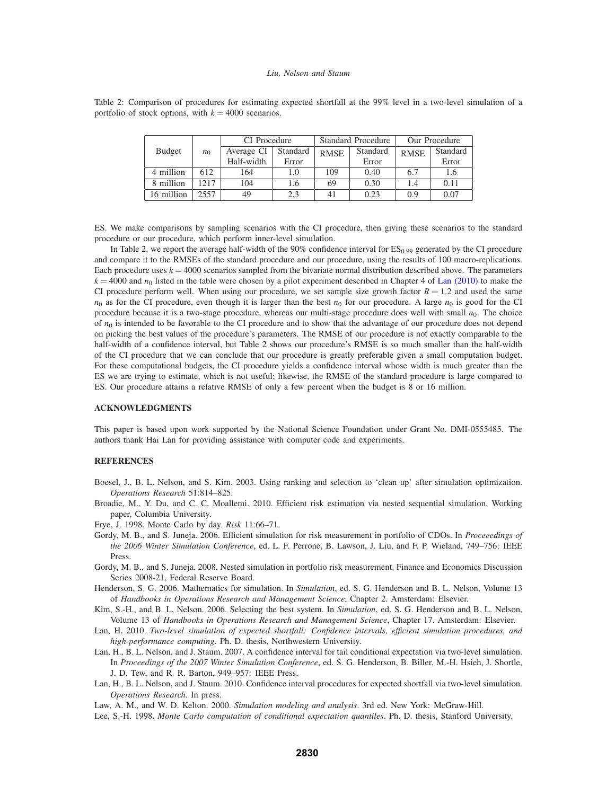Table 2: Comparison of procedures for estimating expected shortfall at the 99% level in a two-level simulation of a portfolio of stock options, with  $k = 4000$  scenarios.

|               | $n_0$ | CI Procedure |          | <b>Standard Procedure</b> |          | Our Procedure |          |
|---------------|-------|--------------|----------|---------------------------|----------|---------------|----------|
| <b>Budget</b> |       | Average CI   | Standard | <b>RMSE</b>               | Standard | <b>RMSE</b>   | Standard |
|               |       | Half-width   | Error    |                           | Error    |               | Error    |
| 4 million     | 612   | 164          | 1.0      | 109                       | 0.40     | 6.7           | 1.6      |
| 8 million     | 1217  | 104          | 1.6      | 69                        | 0.30     | 1.4           | 0.11     |
| 16 million    | 2557  | 49           | 2.3      | 41                        | 0.23     | 0.9           | 0.07     |

ES. We make comparisons by sampling scenarios with the CI procedure, then giving these scenarios to the standard procedure or our procedure, which perform inner-level simulation.

In Table 2, we report the average half-width of the  $90\%$  confidence interval for  $ES_{0.99}$  generated by the CI procedure and compare it to the RMSEs of the standard procedure and our procedure, using the results of 100 macro-replications. Each procedure uses  $k = 4000$  scenarios sampled from the bivariate normal distribution described above. The parameters  $k = 4000$  and  $n_0$  listed in the table were chosen by a pilot experiment described in Chapter 4 of Lan (2010) to make the CI procedure perform well. When using our procedure, we set sample size growth factor  $R = 1.2$  and used the same  $n_0$  as for the CI procedure, even though it is larger than the best  $n_0$  for our procedure. A large  $n_0$  is good for the CI procedure because it is a two-stage procedure, whereas our multi-stage procedure does well with small  $n_0$ . The choice of  $n_0$  is intended to be favorable to the CI procedure and to show that the advantage of our procedure does not depend on picking the best values of the procedure's parameters. The RMSE of our procedure is not exactly comparable to the half-width of a confidence interval, but Table 2 shows our procedure's RMSE is so much smaller than the half-width of the CI procedure that we can conclude that our procedure is greatly preferable given a small computation budget. For these computational budgets, the CI procedure yields a confidence interval whose width is much greater than the ES we are trying to estimate, which is not useful; likewise, the RMSE of the standard procedure is large compared to ES. Our procedure attains a relative RMSE of only a few percent when the budget is  $\overline{8}$  or 16 million.

# **ACKNOWLEDGMENTS**

This paper is based upon work supported by the National Science Foundation under Grant No. DMI-0555485. The authors thank Hai Lan for providing assistance with computer code and experiments.

### **REFERENCES**

- Boesel, J., B. L. Nelson, and S. Kim. 2003. Using ranking and selection to 'clean up' after simulation optimization. *Operations Research* 51:814–825.
- Broadie, M., Y. Du, and C. C. Moallemi. 2010. Efficient risk estimation via nested sequential simulation. Working paper, Columbia University.
- Frye, J. 1998. Monte Carlo by day. *Risk* 11:66–71.
- Gordy, M. B., and S. Juneja. 2006. Efficient simulation for risk measurement in portfolio of CDOs. In *Proceeedings of the 2006 Winter Simulation Conference*, ed. L. F. Perrone, B. Lawson, J. Liu, and F. P. Wieland, 749–756: IEEE Press.
- Gordy, M. B., and S. Juneja. 2008. Nested simulation in portfolio risk measurement. Finance and Economics Discussion Series 2008-21, Federal Reserve Board.
- Henderson, S. G. 2006. Mathematics for simulation. In *Simulation*, ed. S. G. Henderson and B. L. Nelson, Volume 13 of *Handbooks in Operations Research and Management Science*, Chapter 2. Amsterdam: Elsevier.
- Kim, S.-H., and B. L. Nelson. 2006. Selecting the best system. In *Simulation*, ed. S. G. Henderson and B. L. Nelson, Volume 13 of *Handbooks in Operations Research and Management Science*, Chapter 17. Amsterdam: Elsevier.
- Lan, H. 2010. *Two-level simulation of expected shortfall: Confidence intervals, efficient simulation procedures, and high-performance computing*. Ph. D. thesis, Northwestern University.
- Lan, H., B. L. Nelson, and J. Staum. 2007. A confidence interval for tail conditional expectation via two-level simulation. In *Proceedings of the 2007 Winter Simulation Conference*, ed. S. G. Henderson, B. Biller, M.-H. Hsieh, J. Shortle, J. D. Tew, and R. R. Barton, 949–957: IEEE Press.
- Lan, H., B. L. Nelson, and J. Staum. 2010. Confidence interval procedures for expected shortfall via two-level simulation. *Operations Research*. In press.

Law, A. M., and W. D. Kelton. 2000. *Simulation modeling and analysis*. 3rd ed. New York: McGraw-Hill.

Lee, S.-H. 1998. *Monte Carlo computation of conditional expectation quantiles*. Ph. D. thesis, Stanford University.